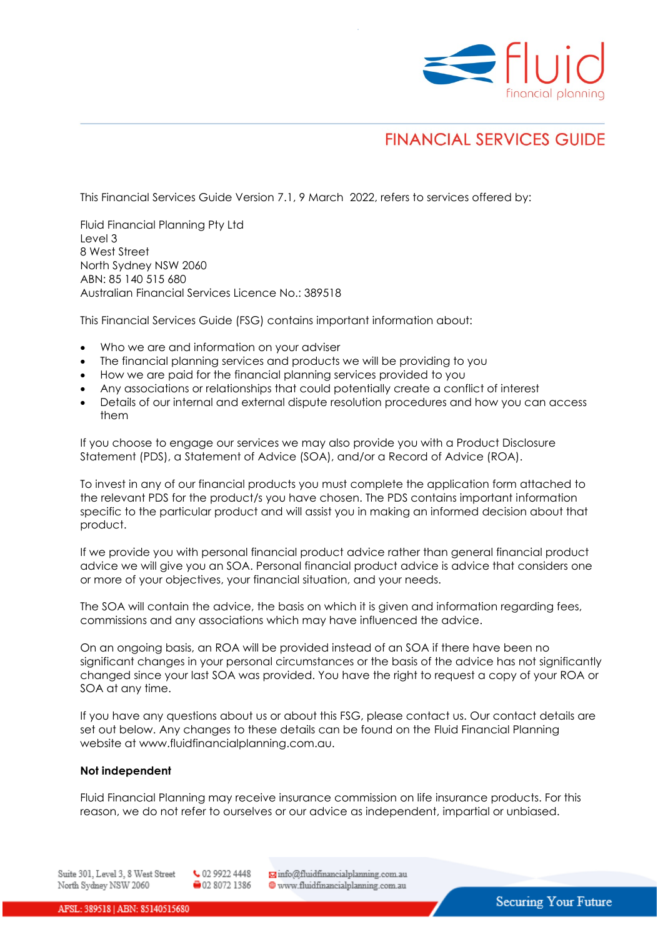

# **FINANCIAL SERVICES GUIDE**

This Financial Services Guide Version 7.1, 9 March 2022, refers to services offered by:

Fluid Financial Planning Pty Ltd Level 3 8 West Street North Sydney NSW 2060 ABN: 85 140 515 680 Australian Financial Services Licence No.: 389518

This Financial Services Guide (FSG) contains important information about:

- Who we are and information on your adviser
- The financial planning services and products we will be providing to you
- How we are paid for the financial planning services provided to you
- Any associations or relationships that could potentially create a conflict of interest
- Details of our internal and external dispute resolution procedures and how you can access them

If you choose to engage our services we may also provide you with a Product Disclosure Statement (PDS), a Statement of Advice (SOA), and/or a Record of Advice (ROA).

To invest in any of our financial products you must complete the application form attached to the relevant PDS for the product/s you have chosen. The PDS contains important information specific to the particular product and will assist you in making an informed decision about that product.

If we provide you with personal financial product advice rather than general financial product advice we will give you an SOA. Personal financial product advice is advice that considers one or more of your objectives, your financial situation, and your needs.

The SOA will contain the advice, the basis on which it is given and information regarding fees, commissions and any associations which may have influenced the advice.

On an ongoing basis, an ROA will be provided instead of an SOA if there have been no significant changes in your personal circumstances or the basis of the advice has not significantly changed since your last SOA was provided. You have the right to request a copy of your ROA or SOA at any time.

If you have any questions about us or about this FSG, please contact us. Our contact details are set out below. Any changes to these details can be found on the Fluid Financial Planning website at www.fluidfinancialplanning.com.au.

#### **Not independent**

Fluid Financial Planning may receive insurance commission on life insurance products. For this reason, we do not refer to ourselves or our advice as independent, impartial or unbiased.

Minfo@fluidfinancialplanning.com.au Suite 301, Level 3, 8 West Street ↓ 02 9922 4448 02 8072 1386 North Sydney NSW 2060 www.fluidfinancialplanning.com.au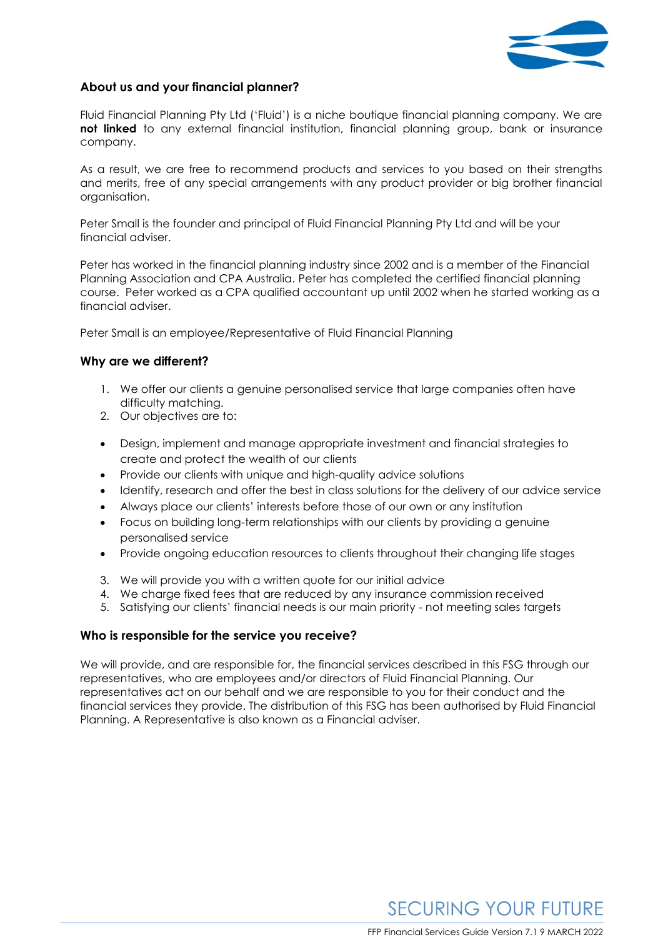

## **About us and your financial planner?**

Fluid Financial Planning Pty Ltd ('Fluid') is a niche boutique financial planning company. We are **not linked** to any external financial institution, financial planning group, bank or insurance company.

As a result, we are free to recommend products and services to you based on their strengths and merits, free of any special arrangements with any product provider or big brother financial organisation.

Peter Small is the founder and principal of Fluid Financial Planning Pty Ltd and will be your financial adviser.

Peter has worked in the financial planning industry since 2002 and is a member of the Financial Planning Association and CPA Australia. Peter has completed the certified financial planning course. Peter worked as a CPA qualified accountant up until 2002 when he started working as a financial adviser.

Peter Small is an employee/Representative of Fluid Financial Planning

## **Why are we different?**

- 1. We offer our clients a genuine personalised service that large companies often have difficulty matching.
- 2. Our objectives are to:
- Design, implement and manage appropriate investment and financial strategies to create and protect the wealth of our clients
- Provide our clients with unique and high-quality advice solutions
- Identify, research and offer the best in class solutions for the delivery of our advice service
- Always place our clients' interests before those of our own or any institution
- Focus on building long-term relationships with our clients by providing a genuine personalised service
- Provide ongoing education resources to clients throughout their changing life stages
- 3. We will provide you with a written quote for our initial advice
- 4. We charge fixed fees that are reduced by any insurance commission received
- 5. Satisfying our clients' financial needs is our main priority not meeting sales targets

## **Who is responsible for the service you receive?**

We will provide, and are responsible for, the financial services described in this FSG through our representatives, who are employees and/or directors of Fluid Financial Planning. Our representatives act on our behalf and we are responsible to you for their conduct and the financial services they provide. The distribution of this FSG has been authorised by Fluid Financial Planning. A Representative is also known as a Financial adviser.

**SECURING YOUR FUTURE**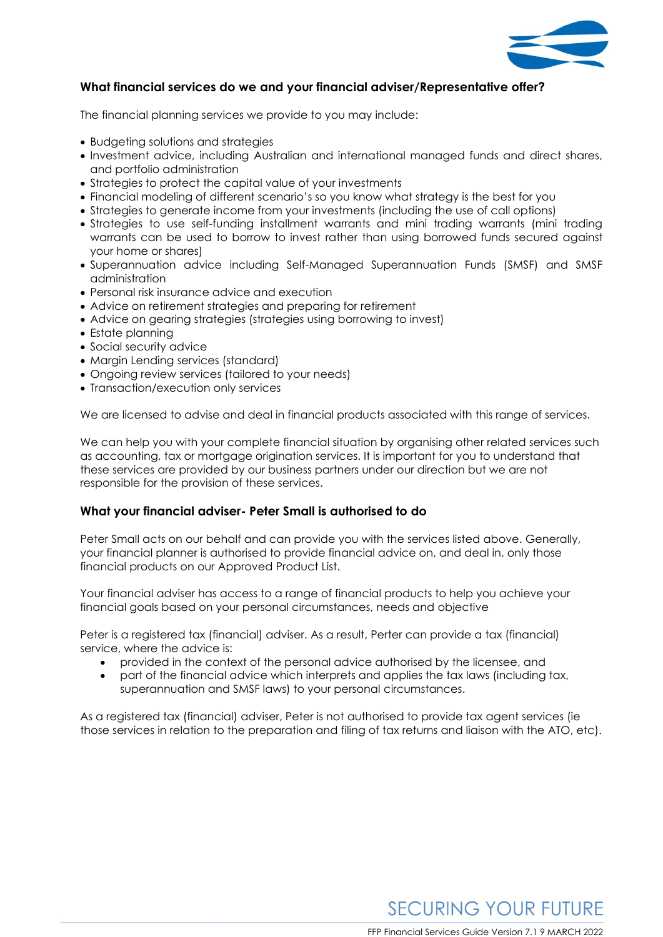

## **What financial services do we and your financial adviser/Representative offer?**

The financial planning services we provide to you may include:

- Budgeting solutions and strategies
- Investment advice, including Australian and international managed funds and direct shares, and portfolio administration
- Strategies to protect the capital value of your investments
- Financial modeling of different scenario's so you know what strategy is the best for you
- Strategies to generate income from your investments (including the use of call options)
- Strategies to use self-funding installment warrants and mini trading warrants (mini trading warrants can be used to borrow to invest rather than using borrowed funds secured against your home or shares)
- Superannuation advice including Self-Managed Superannuation Funds (SMSF) and SMSF administration
- Personal risk insurance advice and execution
- Advice on retirement strategies and preparing for retirement
- Advice on gearing strategies (strategies using borrowing to invest)
- Estate planning
- Social security advice
- Margin Lending services (standard)
- Ongoing review services (tailored to your needs)
- Transaction/execution only services

We are licensed to advise and deal in financial products associated with this range of services.

We can help you with your complete financial situation by organising other related services such as accounting, tax or mortgage origination services. It is important for you to understand that these services are provided by our business partners under our direction but we are not responsible for the provision of these services.

#### **What your financial adviser- Peter Small is authorised to do**

Peter Small acts on our behalf and can provide you with the services listed above. Generally, your financial planner is authorised to provide financial advice on, and deal in, only those financial products on our Approved Product List.

Your financial adviser has access to a range of financial products to help you achieve your financial goals based on your personal circumstances, needs and objective

Peter is a registered tax (financial) adviser. As a result, Perter can provide a tax (financial) service, where the advice is:

- provided in the context of the personal advice authorised by the licensee, and
- part of the financial advice which interprets and applies the tax laws (including tax, superannuation and SMSF laws) to your personal circumstances.

As a registered tax (financial) adviser, Peter is not authorised to provide tax agent services (ie those services in relation to the preparation and filing of tax returns and liaison with the ATO, etc).

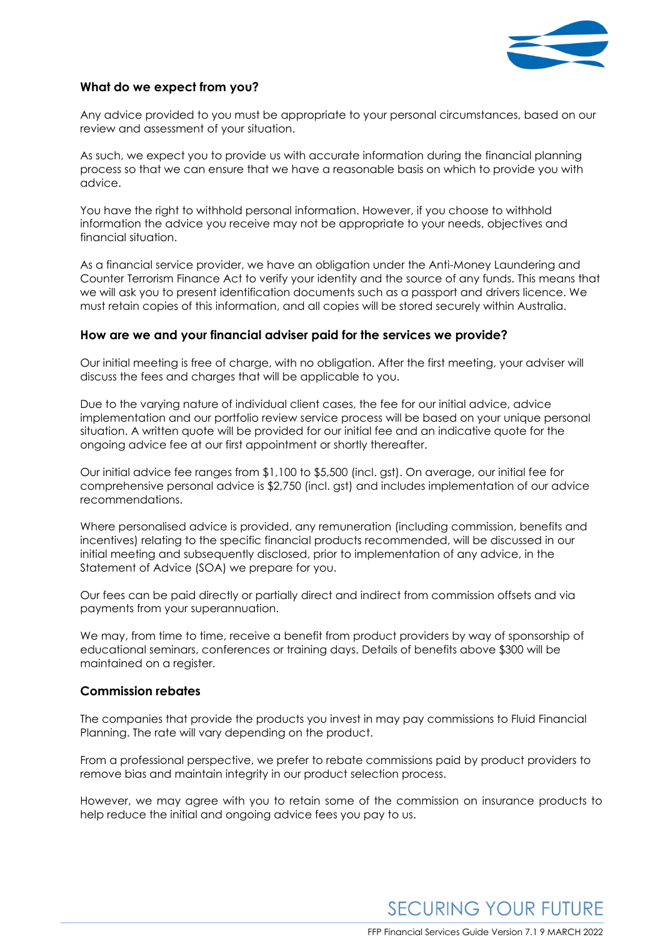

#### **What do we expect from you?**

Any advice provided to you must be appropriate to your personal circumstances, based on our review and assessment of your situation.

As such, we expect you to provide us with accurate information during the financial planning process so that we can ensure that we have a reasonable basis on which to provide you with advice.

You have the right to withhold personal information. However, if you choose to withhold information the advice you receive may not be appropriate to your needs, objectives and financial situation.

As a financial service provider, we have an obligation under the Anti-Money Laundering and Counter Terrorism Finance Act to verify your identity and the source of any funds. This means that we will ask you to present identification documents such as a passport and drivers licence. We must retain copies of this information, and all copies will be stored securely within Australia.

#### **How are we and your financial adviser paid for the services we provide?**

Our initial meeting is free of charge, with no obligation. After the first meeting, your adviser will discuss the fees and charges that will be applicable to you.

Due to the varying nature of individual client cases, the fee for our initial advice, advice implementation and our portfolio review service process will be based on your unique personal situation. A written quote will be provided for our initial fee and an indicative quote for the ongoing advice fee at our first appointment or shortly thereafter.

Our initial advice fee ranges from \$1,100 to \$5,500 (incl. gst). On average, our initial fee for comprehensive personal advice is \$2,750 (incl. gst) and includes implementation of our advice recommendations.

Where personalised advice is provided, any remuneration (including commission, benefits and incentives) relating to the specific financial products recommended, will be discussed in our initial meeting and subsequently disclosed, prior to implementation of any advice, in the Statement of Advice (SOA) we prepare for you.

Our fees can be paid directly or partially direct and indirect from commission offsets and via payments from your superannuation.

We may, from time to time, receive a benefit from product providers by way of sponsorship of educational seminars, conferences or training days. Details of benefits above \$300 will be maintained on a register.

#### **Commission rebates**

The companies that provide the products you invest in may pay commissions to Fluid Financial Planning. The rate will vary depending on the product.

From a professional perspective, we prefer to rebate commissions paid by product providers to remove bias and maintain integrity in our product selection process.

However, we may agree with you to retain some of the commission on insurance products to help reduce the initial and ongoing advice fees you pay to us.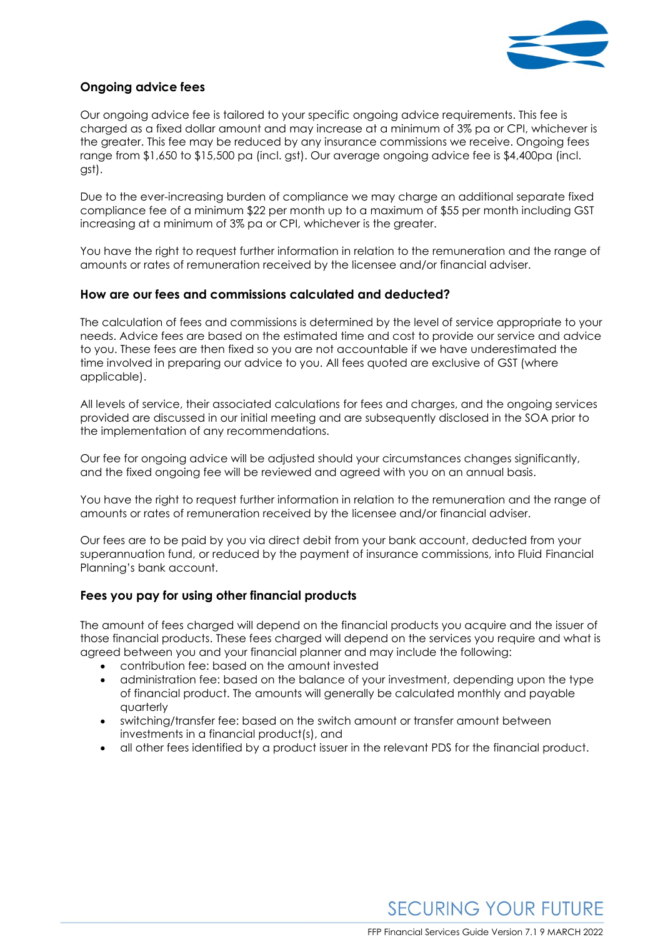

## **Ongoing advice fees**

Our ongoing advice fee is tailored to your specific ongoing advice requirements. This fee is charged as a fixed dollar amount and may increase at a minimum of 3% pa or CPI, whichever is the greater. This fee may be reduced by any insurance commissions we receive. Ongoing fees range from \$1,650 to \$15,500 pa (incl. gst). Our average ongoing advice fee is \$4,400pa (incl. gst).

Due to the ever-increasing burden of compliance we may charge an additional separate fixed compliance fee of a minimum \$22 per month up to a maximum of \$55 per month including GST increasing at a minimum of 3% pa or CPI, whichever is the greater.

You have the right to request further information in relation to the remuneration and the range of amounts or rates of remuneration received by the licensee and/or financial adviser.

#### **How are our fees and commissions calculated and deducted?**

The calculation of fees and commissions is determined by the level of service appropriate to your needs. Advice fees are based on the estimated time and cost to provide our service and advice to you. These fees are then fixed so you are not accountable if we have underestimated the time involved in preparing our advice to you. All fees quoted are exclusive of GST (where applicable).

All levels of service, their associated calculations for fees and charges, and the ongoing services provided are discussed in our initial meeting and are subsequently disclosed in the SOA prior to the implementation of any recommendations.

Our fee for ongoing advice will be adjusted should your circumstances changes significantly, and the fixed ongoing fee will be reviewed and agreed with you on an annual basis.

You have the right to request further information in relation to the remuneration and the range of amounts or rates of remuneration received by the licensee and/or financial adviser.

Our fees are to be paid by you via direct debit from your bank account, deducted from your superannuation fund, or reduced by the payment of insurance commissions, into Fluid Financial Planning's bank account.

## **Fees you pay for using other financial products**

The amount of fees charged will depend on the financial products you acquire and the issuer of those financial products. These fees charged will depend on the services you require and what is agreed between you and your financial planner and may include the following:

- contribution fee: based on the amount invested
- administration fee: based on the balance of your investment, depending upon the type of financial product. The amounts will generally be calculated monthly and payable quarterly
- switching/transfer fee: based on the switch amount or transfer amount between investments in a financial product(s), and
- all other fees identified by a product issuer in the relevant PDS for the financial product.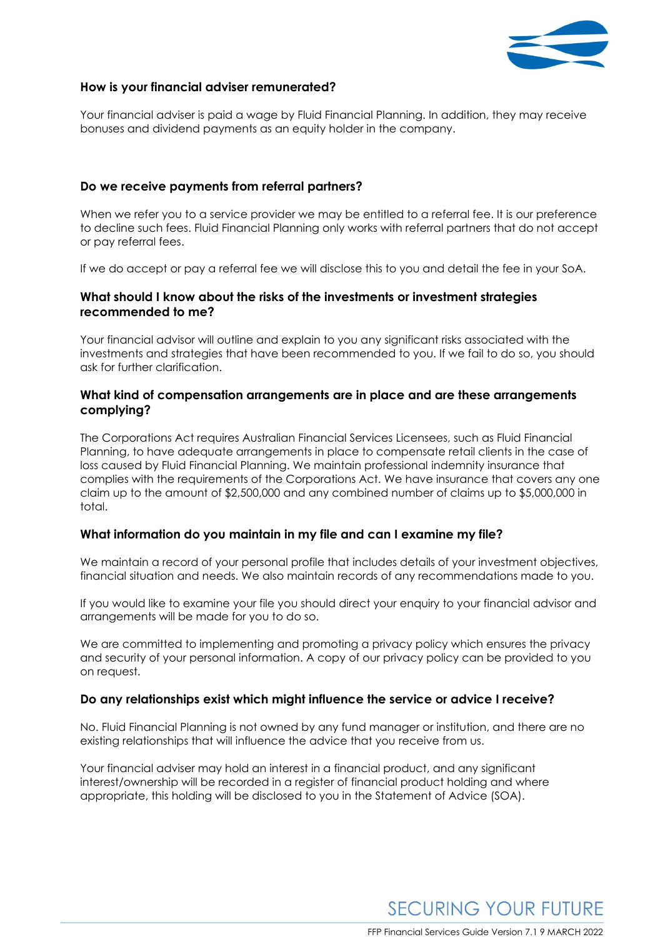

## **How is your financial adviser remunerated?**

Your financial adviser is paid a wage by Fluid Financial Planning. In addition, they may receive bonuses and dividend payments as an equity holder in the company.

#### **Do we receive payments from referral partners?**

When we refer you to a service provider we may be entitled to a referral fee. It is our preference to decline such fees. Fluid Financial Planning only works with referral partners that do not accept or pay referral fees.

If we do accept or pay a referral fee we will disclose this to you and detail the fee in your SoA.

#### **What should I know about the risks of the investments or investment strategies recommended to me?**

Your financial advisor will outline and explain to you any significant risks associated with the investments and strategies that have been recommended to you. If we fail to do so, you should ask for further clarification.

#### **What kind of compensation arrangements are in place and are these arrangements complying?**

The Corporations Act requires Australian Financial Services Licensees, such as Fluid Financial Planning, to have adequate arrangements in place to compensate retail clients in the case of loss caused by Fluid Financial Planning. We maintain professional indemnity insurance that complies with the requirements of the Corporations Act. We have insurance that covers any one claim up to the amount of \$2,500,000 and any combined number of claims up to \$5,000,000 in total.

#### **What information do you maintain in my file and can I examine my file?**

We maintain a record of your personal profile that includes details of your investment objectives, financial situation and needs. We also maintain records of any recommendations made to you.

If you would like to examine your file you should direct your enquiry to your financial advisor and arrangements will be made for you to do so.

We are committed to implementing and promoting a privacy policy which ensures the privacy and security of your personal information. A copy of our privacy policy can be provided to you on request.

#### **Do any relationships exist which might influence the service or advice I receive?**

No. Fluid Financial Planning is not owned by any fund manager or institution, and there are no existing relationships that will influence the advice that you receive from us.

Your financial adviser may hold an interest in a financial product, and any significant interest/ownership will be recorded in a register of financial product holding and where appropriate, this holding will be disclosed to you in the Statement of Advice (SOA).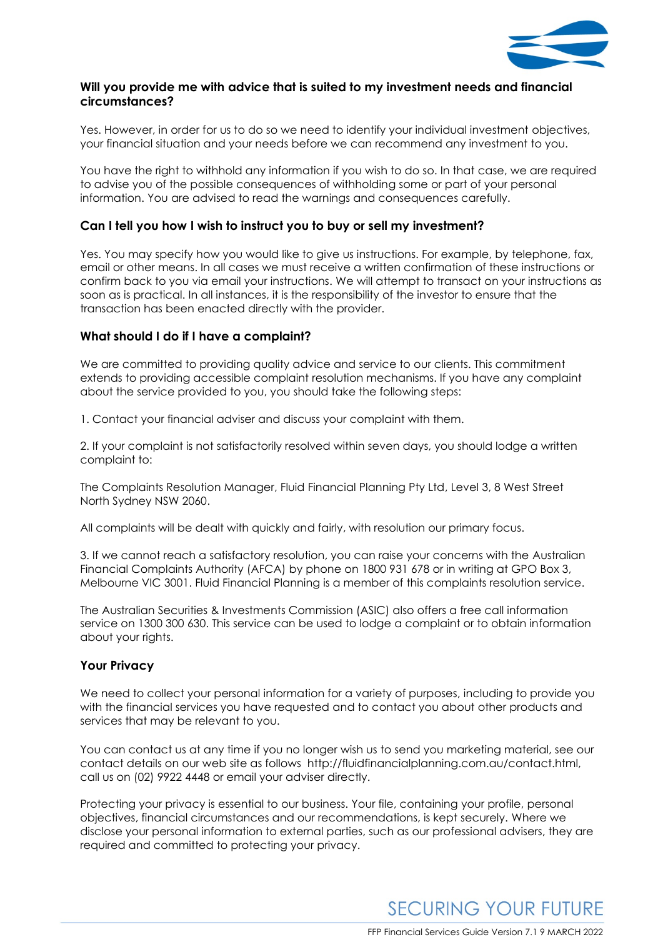

## **Will you provide me with advice that is suited to my investment needs and financial circumstances?**

Yes. However, in order for us to do so we need to identify your individual investment objectives, your financial situation and your needs before we can recommend any investment to you.

You have the right to withhold any information if you wish to do so. In that case, we are required to advise you of the possible consequences of withholding some or part of your personal information. You are advised to read the warnings and consequences carefully.

## **Can I tell you how I wish to instruct you to buy or sell my investment?**

Yes. You may specify how you would like to give us instructions. For example, by telephone, fax, email or other means. In all cases we must receive a written confirmation of these instructions or confirm back to you via email your instructions. We will attempt to transact on your instructions as soon as is practical. In all instances, it is the responsibility of the investor to ensure that the transaction has been enacted directly with the provider.

## **What should I do if I have a complaint?**

We are committed to providing quality advice and service to our clients. This commitment extends to providing accessible complaint resolution mechanisms. If you have any complaint about the service provided to you, you should take the following steps:

1. Contact your financial adviser and discuss your complaint with them.

2. If your complaint is not satisfactorily resolved within seven days, you should lodge a written complaint to:

The Complaints Resolution Manager, Fluid Financial Planning Pty Ltd, Level 3, 8 West Street North Sydney NSW 2060.

All complaints will be dealt with quickly and fairly, with resolution our primary focus.

3. If we cannot reach a satisfactory resolution, you can raise your concerns with the Australian Financial Complaints Authority (AFCA) by phone on 1800 931 678 or in writing at GPO Box 3, Melbourne VIC 3001. Fluid Financial Planning is a member of this complaints resolution service.

The Australian Securities & Investments Commission (ASIC) also offers a free call information service on 1300 300 630. This service can be used to lodge a complaint or to obtain information about your rights.

## **Your Privacy**

We need to collect your personal information for a variety of purposes, including to provide you with the financial services you have requested and to contact you about other products and services that may be relevant to you.

You can contact us at any time if you no longer wish us to send you marketing material, see our contact details on our web site as follows http://fluidfinancialplanning.com.au/contact.html, call us on (02) 9922 4448 or email your adviser directly.

Protecting your privacy is essential to our business. Your file, containing your profile, personal objectives, financial circumstances and our recommendations, is kept securely. Where we disclose your personal information to external parties, such as our professional advisers, they are required and committed to protecting your privacy.

**SECURING YOUR FUTURE**